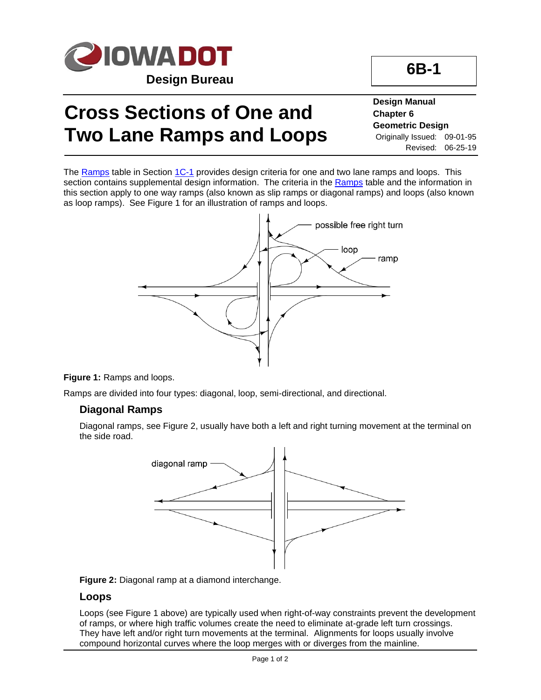

# **Cross Sections of One and Two Lane Ramps and Loops**

#### **Design Manual Chapter 6 Geometric Design** Originally Issued: 09-01-95 Revised: 06-25-19

**6B-1**

The [Ramps](01C-01/Ramps.xlsm) table in Section [1C-1](01C-01.pdf) provides design criteria for one and two lane ramps and loops. This section contains supplemental design information. The criteria in the [Ramps](01C-01/Ramps.xlsm) table and the information in this section apply to one way ramps (also known as slip ramps or diagonal ramps) and loops (also known as loop ramps). See Figure 1 for an illustration of ramps and loops.



#### **Figure 1:** Ramps and loops.

Ramps are divided into four types: diagonal, loop, semi-directional, and directional.

#### **Diagonal Ramps**

Diagonal ramps, see Figure 2, usually have both a left and right turning movement at the terminal on the side road.





#### **Loops**

Loops (see Figure 1 above) are typically used when right-of-way constraints prevent the development of ramps, or where high traffic volumes create the need to eliminate at-grade left turn crossings. They have left and/or right turn movements at the terminal. Alignments for loops usually involve compound horizontal curves where the loop merges with or diverges from the mainline.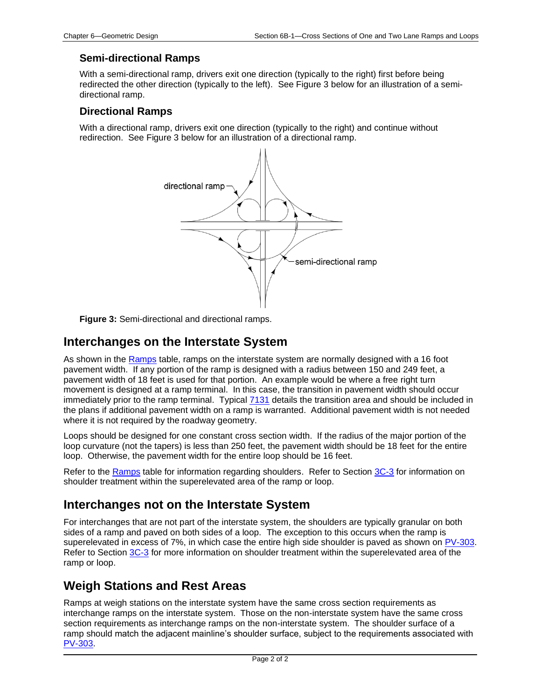#### **Semi-directional Ramps**

With a semi-directional ramp, drivers exit one direction (typically to the right) first before being redirected the other direction (typically to the left). See Figure 3 below for an illustration of a semidirectional ramp.

#### **Directional Ramps**

With a directional ramp, drivers exit one direction (typically to the right) and continue without redirection. See Figure 3 below for an illustration of a directional ramp.



**Figure 3:** Semi-directional and directional ramps.

### **Interchanges on the Interstate System**

As shown in the [Ramps](01C-01/Ramps.xlsm) table, ramps on the interstate system are normally designed with a 16 foot pavement width. If any portion of the ramp is designed with a radius between 150 and 249 feet, a pavement width of 18 feet is used for that portion. An example would be where a free right turn movement is designed at a ramp terminal. In this case, the transition in pavement width should occur immediately prior to the ramp terminal. Typical [7131](../tnt/PDFsandWebFiles/IndividualPDFs/7131.pdf) details the transition area and should be included in the plans if additional pavement width on a ramp is warranted. Additional pavement width is not needed where it is not required by the roadway geometry.

Loops should be designed for one constant cross section width. If the radius of the major portion of the loop curvature (not the tapers) is less than 250 feet, the pavement width should be 18 feet for the entire loop. Otherwise, the pavement width for the entire loop should be 16 feet.

Refer to the [Ramps](01C-01/Ramps.xlsm) table for information regarding shoulders. Refer to Section [3C-3](03c-03.pdf) for information on shoulder treatment within the superelevated area of the ramp or loop.

### **Interchanges not on the Interstate System**

For interchanges that are not part of the interstate system, the shoulders are typically granular on both sides of a ramp and paved on both sides of a loop. The exception to this occurs when the ramp is superelevated in excess of 7%, in which case the entire high side shoulder is paved as shown on [PV-303.](../SRP/IndividualStandards/pv303.pdf) Refer to Section [3C-3](03c-03.pdf) for more information on shoulder treatment within the superelevated area of the ramp or loop.

## **Weigh Stations and Rest Areas**

Ramps at weigh stations on the interstate system have the same cross section requirements as interchange ramps on the interstate system. Those on the non-interstate system have the same cross section requirements as interchange ramps on the non-interstate system. The shoulder surface of a ramp should match the adjacent mainline's shoulder surface, subject to the requirements associated with [PV-303.](../SRP/IndividualStandards/pv303.pdf)